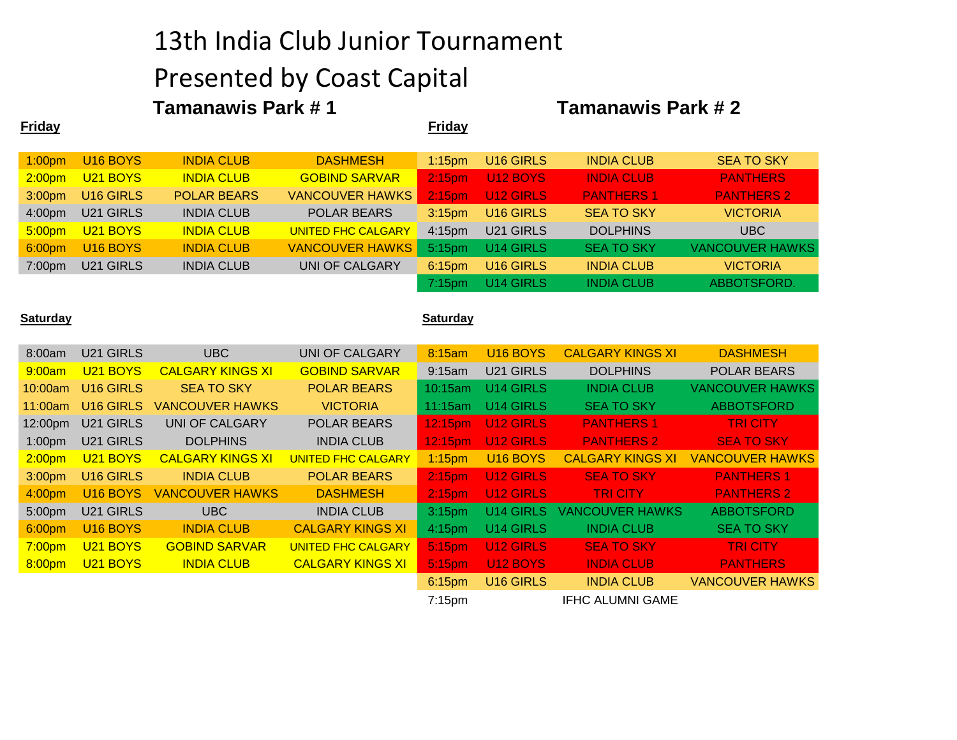### 13th India Club Junior Tournament

## Presented by Coast Capital

# **Tamanawis Park # 1** Tamanawis Park # 2

| <u>Friday</u>      |                      |                         |                           | <b>Friday</b>      |                      |                         |                        |
|--------------------|----------------------|-------------------------|---------------------------|--------------------|----------------------|-------------------------|------------------------|
| 1:00pm             | U <sub>16</sub> BOYS | <b>INDIA CLUB</b>       | <b>DASHMESH</b>           | $1:15$ pm          | U16 GIRLS            | <b>INDIA CLUB</b>       | <b>SEA TO SKY</b>      |
| 2:00 <sub>pm</sub> | U21 BOYS             | <b>INDIA CLUB</b>       | <b>GOBIND SARVAR</b>      | 2:15 <sub>pm</sub> | <b>U12 BOYS</b>      | <b>INDIA CLUB</b>       | <b>PANTHERS</b>        |
| 3:00pm             | U16 GIRLS            | <b>POLAR BEARS</b>      | <b>VANCOUVER HAWKS</b>    | 2:15 <sub>pm</sub> | <b>U12 GIRLS</b>     | <b>PANTHERS 1</b>       | <b>PANTHERS 2</b>      |
| 4:00pm             | U21 GIRLS            | <b>INDIA CLUB</b>       | <b>POLAR BEARS</b>        | 3:15 <sub>pm</sub> | U16 GIRLS            | <b>SEA TO SKY</b>       | <b>VICTORIA</b>        |
| 5:00 <sub>pm</sub> | U21 BOYS             | <b>INDIA CLUB</b>       | <b>UNITED FHC CALGARY</b> | 4:15pm             | U21 GIRLS            | <b>DOLPHINS</b>         | <b>UBC</b>             |
| 6:00pm             | U16 BOYS             | <b>INDIA CLUB</b>       | <b>VANCOUVER HAWKS</b>    | 5:15pm             | U14 GIRLS            | <b>SEA TO SKY</b>       | <b>VANCOUVER HAWKS</b> |
| 7:00pm             | U21 GIRLS            | <b>INDIA CLUB</b>       | <b>UNI OF CALGARY</b>     | 6:15pm             | U16 GIRLS            | <b>INDIA CLUB</b>       | <b>VICTORIA</b>        |
|                    |                      |                         |                           | 7:15pm             | U14 GIRLS            | <b>INDIA CLUB</b>       | ABBOTSFORD.            |
| <u>Saturday</u>    |                      |                         |                           | <b>Saturday</b>    |                      |                         |                        |
| 8:00am             | U21 GIRLS            | <b>UBC</b>              | <b>UNI OF CALGARY</b>     | 8:15am             | U <sub>16</sub> BOYS | <b>CALGARY KINGS XI</b> | <b>DASHMESH</b>        |
| 9:00am             | U21 BOYS             | <b>CALGARY KINGS XI</b> | <b>GOBIND SARVAR</b>      | 9:15am             | U21 GIRLS            | <b>DOLPHINS</b>         | <b>POLAR BEARS</b>     |
| 10:00am            | U16 GIRLS            | <b>SEA TO SKY</b>       | <b>POLAR BEARS</b>        | 10:15am            | U14 GIRLS            | <b>INDIA CLUB</b>       | <b>VANCOUVER HAWKS</b> |
| 11:00am            | U16 GIRLS            | <b>VANCOUVER HAWKS</b>  | <b>VICTORIA</b>           | 11:15am            | U14 GIRLS            | <b>SEA TO SKY</b>       | <b>ABBOTSFORD</b>      |
| 12:00pm            | U21 GIRLS            | <b>UNI OF CALGARY</b>   | <b>POLAR BEARS</b>        | 12:15pm            | <b>U12 GIRLS</b>     | <b>PANTHERS 1</b>       | <b>TRICITY</b>         |
| 1:00pm             | U21 GIRLS            | <b>DOLPHINS</b>         | <b>INDIA CLUB</b>         | 12:15pm            | <b>U12 GIRLS</b>     | <b>PANTHERS 2</b>       | <b>SEA TO SKY</b>      |
| 2:00 <sub>pm</sub> | U21 BOYS             | <b>CALGARY KINGS XI</b> | <b>UNITED FHC CALGARY</b> | $1:15$ pm          | U16 BOYS             | <b>CALGARY KINGS XI</b> | <b>VANCOUVER HAWKS</b> |
| 3:00pm             | U16 GIRLS            | <b>INDIA CLUB</b>       | <b>POLAR BEARS</b>        | 2:15 <sub>pm</sub> | <b>U12 GIRLS</b>     | <b>SEA TO SKY</b>       | <b>PANTHERS 1</b>      |
| 4:00pm             | U16 BOYS             | <b>VANCOUVER HAWKS</b>  | <b>DASHMESH</b>           | 2:15 <sub>pm</sub> | <b>U12 GIRLS</b>     | <b>TRICITY</b>          | <b>PANTHERS 2</b>      |
| 5:00pm             | U21 GIRLS            | <b>UBC</b>              | <b>INDIA CLUB</b>         | 3:15pm             | U14 GIRLS            | <b>VANCOUVER HAWKS</b>  | <b>ABBOTSFORD</b>      |
| 6:00pm             | U16 BOYS             | <b>INDIA CLUB</b>       | <b>CALGARY KINGS XI</b>   | 4:15pm             | U14 GIRLS            | <b>INDIA CLUB</b>       | <b>SEA TO SKY</b>      |
| 7:00 <sub>pm</sub> | U21 BOYS             | <b>GOBIND SARVAR</b>    | <b>UNITED FHC CALGARY</b> | 5:15pm             | <b>U12 GIRLS</b>     | <b>SEA TO SKY</b>       | <b>TRICITY</b>         |
| 8:00pm             | U21 BOYS             | <b>INDIA CLUB</b>       | <b>CALGARY KINGS XI</b>   | 5:15pm             | U12 BOYS             | <b>INDIA CLUB</b>       | <b>PANTHERS</b>        |
|                    |                      |                         |                           | 6:15pm             | U16 GIRLS            | <b>INDIA CLUB</b>       | <b>VANCOUVER HAWKS</b> |
|                    |                      |                         |                           | 7:15pm             |                      | <b>IFHC ALUMNI GAME</b> |                        |